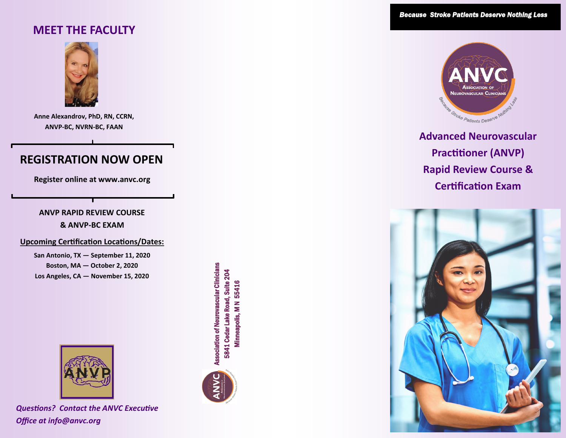# **MEET THE FACULTY**



**Anne Alexandrov, PhD, RN, CCRN, ANVP-BC, NVRN-BC, FAAN**

# **REGISTRATION NOW OPEN**

**Register online at www.anvc.org**

### **ANVP RAPID REVIEW COURSE**

#### **& ANVP-BC EXAM**

#### **Upcoming Certification Locations/Dates:**

**San Antonio, TX — September 11, 2020 Boston, MA — October 2, 2020 Los Angeles, CA — November 15, 2020**

*\*\*\*ANVC is committed to the health and safety of both our attendees and faculty. The property we have selected to host the ANVP course has taken measures to enhance the sanitation of their guestrooms and social areas. Furthermore, physical distancing (among other commitments) will be enforced*



*Questions? Contact the ANVC Executive Office at info@anvc.org*

ssociation of Neurovascular Clinicians<br>5841 Cedar Lake Road, Suite 204<br>Minneapolis, M N 55416





**Advanced Neurovascular Practitioner (ANVP) Rapid Review Course & Certification Exam**